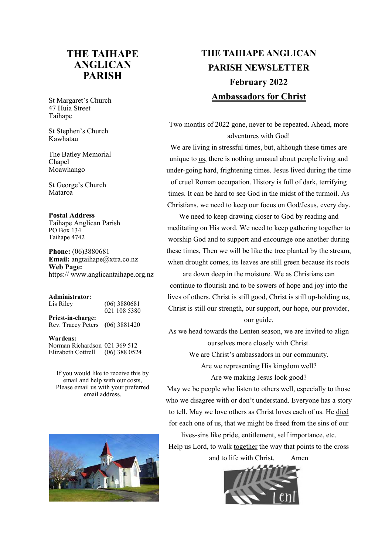## **THE TAIHAPE ANGLICAN PARISH**

St Margaret's Church 47 Huia Street Taihape

St Stephen's Church Kawhatau

The Batley Memorial Chapel Moawhango

St George's Church Mataroa

#### **Postal Address**

Taihape Anglican Parish PO Box 134 Taihape 4742

**Phone:** (06)3880681 **Email:** angtaihape@xtra.co.nz **Web Page:**  https:// www.anglicantaihape.org.nz

#### **Administrator:**

| Lis Riley          | $(06)$ 3880681<br>021 108 5380 |
|--------------------|--------------------------------|
| Priest-in-charge:  |                                |
| Rev. Tracey Peters | $(06)$ 3881420                 |

**Wardens:** 

Norman Richardson 021 369 512 Elizabeth Cottrell (06) 388 0524

If you would like to receive this by email and help with our costs, Please email us with your preferred email address.



# **THE TAIHAPE ANGLICAN PARISH NEWSLETTER February 2022 Ambassadors for Christ**

Two months of 2022 gone, never to be repeated. Ahead, more adventures with God!

We are living in stressful times, but, although these times are unique to us, there is nothing unusual about people living and under-going hard, frightening times. Jesus lived during the time of cruel Roman occupation. History is full of dark, terrifying times. It can be hard to see God in the midst of the turmoil. As Christians, we need to keep our focus on God/Jesus, every day.

We need to keep drawing closer to God by reading and meditating on His word. We need to keep gathering together to worship God and to support and encourage one another during these times, Then we will be like the tree planted by the stream, when drought comes, its leaves are still green because its roots

are down deep in the moisture. We as Christians can continue to flourish and to be sowers of hope and joy into the lives of others. Christ is still good, Christ is still up-holding us, Christ is still our strength, our support, our hope, our provider, our guide.

As we head towards the Lenten season, we are invited to align ourselves more closely with Christ.

We are Christ's ambassadors in our community.

Are we representing His kingdom well?

Are we making Jesus look good?

May we be people who listen to others well, especially to those who we disagree with or don't understand. Everyone has a story to tell. May we love others as Christ loves each of us. He died for each one of us, that we might be freed from the sins of our

lives-sins like pride, entitlement, self importance, etc. Help us Lord, to walk together the way that points to the cross

and to life with Christ. Amen

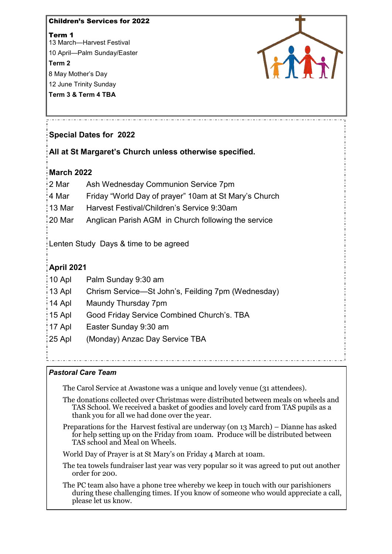Children's Services for 2022 Term 1 13 March—Harvest Festival 10 April—Palm Sunday/Easter **Term 2** 8 May Mother's Day 12 June Trinity Sunday **Term 3 & Term 4 TBA**



## **Special Dates for 2022**

**All at St Margaret's Church unless otherwise specified.**

## **March 2022**

| 2 Mar  | Ash Wednesday Communion Service 7pm                   |
|--------|-------------------------------------------------------|
| 4 Mar  | Friday "World Day of prayer" 10am at St Mary's Church |
| 13 Mar | Harvest Festival/Children's Service 9:30am            |
| 20 Mar | Anglican Parish AGM in Church following the service   |

Lenten Study Days & time to be agreed

## **April 2021**

- 10 Apl Palm Sunday 9:30 am
- 13 Apl Chrism Service—St John's, Feilding 7pm (Wednesday)
- 14 Apl Maundy Thursday 7pm
- 15 Apl Good Friday Service Combined Church's. TBA
- 17 Apl Easter Sunday 9:30 am
- 25 Apl (Monday) Anzac Day Service TBA

### *Pastoral Care Team*

The Carol Service at Awastone was a unique and lovely venue (31 attendees).

The donations collected over Christmas were distributed between meals on wheels and TAS School. We received a basket of goodies and lovely card from TAS pupils as a thank you for all we had done over the year.

Preparations for the Harvest festival are underway (on 13 March) – Dianne has asked for help setting up on the Friday from 10am. Produce will be distributed between TAS school and Meal on Wheels.

World Day of Prayer is at St Mary's on Friday 4 March at 10am.

- The tea towels fundraiser last year was very popular so it was agreed to put out another order for 200.
- The PC team also have a phone tree whereby we keep in touch with our parishioners during these challenging times. If you know of someone who would appreciate a call, please let us know.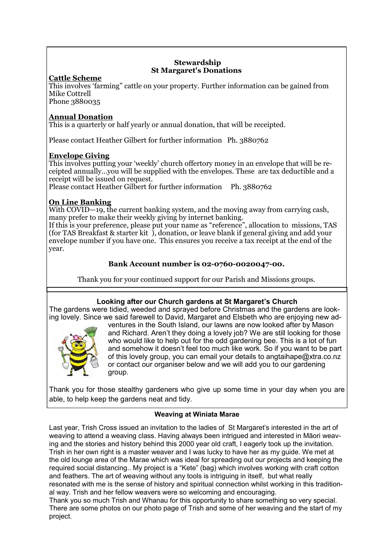#### **Stewardship St Margaret's Donations**

## **Cattle Scheme**

This involves 'farming" cattle on your property. Further information can be gained from Mike Cottrell

Phone 3880035

#### **Annual Donation**

This is a quarterly or half yearly or annual donation, that will be receipted.

Please contact Heather Gilbert for further information Ph. 3880762

#### **Envelope Giving**

This involves putting your 'weekly' church offertory money in an envelope that will be receipted annually…you will be supplied with the envelopes. These are tax deductible and a receipt will be issued on request.

Please contact Heather Gilbert for further information Ph. 3880762

### **On Line Banking**

With COVID—19, the current banking system, and the moving away from carrying cash, many prefer to make their weekly giving by internet banking.

If this is your preference, please put your name as "reference", allocation to missions, TAS (for TAS Breakfast & starter kit ), donation, or leave blank if general giving and add your envelope number if you have one. This ensures you receive a tax receipt at the end of the year.

### **Bank Account number is 02-0760-0020047-00.**

Thank you for your continued support for our Parish and Missions groups.

### **Looking after our Church gardens at St Margaret's Church**

The gardens were tidied, weeded and sprayed before Christmas and the gardens are looking lovely. Since we said farewell to David, Margaret and Elsbeth who are enjoying new ad-



ventures in the South Island, our lawns are now looked after by Mason and Richard. Aren't they doing a lovely job? We are still looking for those who would like to help out for the odd gardening bee. This is a lot of fun and somehow it doesn't feel too much like work. So if you want to be part of this lovely group, you can email your details to angtaihape@xtra.co.nz or contact our organiser below and we will add you to our gardening group.

Thank you for those stealthy gardeners who give up some time in your day when you are able, to help keep the gardens neat and tidy.

### **Weaving at Winiata Marae**

Last year, Trish Cross issued an invitation to the ladies of St Margaret's interested in the art of weaving to attend a weaving class. Having always been intrigued and interested in Māori weaving and the stories and history behind this 2000 year old craft, I eagerly took up the invitation. Trish in her own right is a master weaver and I was lucky to have her as my guide. We met at the old lounge area of the Marae which was ideal for spreading out our projects and keeping the required social distancing.. My project is a "Kete" (bag) which involves working with craft cotton and feathers. The art of weaving without any tools is intriguing in itself, but what really resonated with me is the sense of history and spiritual connection whilst working in this traditional way. Trish and her fellow weavers were so welcoming and encouraging.

Thank you so much Trish and Whanau for this opportunity to share something so very special. There are some photos on our photo page of Trish and some of her weaving and the start of my project.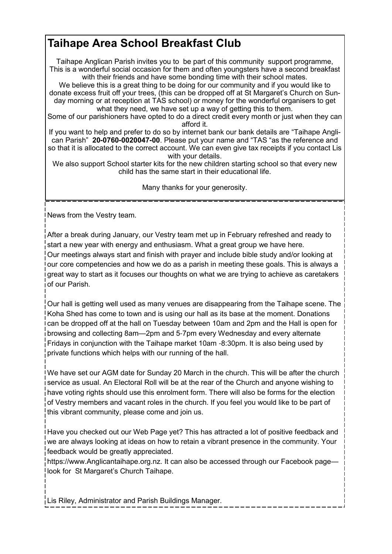# **Taihape Area School Breakfast Club**

Taihape Anglican Parish invites you to be part of this community support programme, This is a wonderful social occasion for them and often youngsters have a second breakfast with their friends and have some bonding time with their school mates.

We believe this is a great thing to be doing for our community and if you would like to donate excess fruit off your trees, (this can be dropped off at St Margaret's Church on Sunday morning or at reception at TAS school) or money for the wonderful organisers to get what they need, we have set up a way of getting this to them.

Some of our parishioners have opted to do a direct credit every month or just when they can afford it.

If you want to help and prefer to do so by internet bank our bank details are "Taihape Anglican Parish" **20-0760-0020047-00**. Please put your name and "TAS "as the reference and so that it is allocated to the correct account. We can even give tax receipts if you contact Lis with your details.

We also support School starter kits for the new children starting school so that every new child has the same start in their educational life.

Many thanks for your generosity.

News from the Vestry team.

After a break during January, our Vestry team met up in February refreshed and ready to start a new year with energy and enthusiasm. What a great group we have here. Our meetings always start and finish with prayer and include bible study and/or looking at our core competencies and how we do as a parish in meeting these goals. This is always a great way to start as it focuses our thoughts on what we are trying to achieve as caretakers of our Parish.

Our hall is getting well used as many venues are disappearing from the Taihape scene. The Koha Shed has come to town and is using our hall as its base at the moment. Donations can be dropped off at the hall on Tuesday between 10am and 2pm and the Hall is open for browsing and collecting 8am—2pm and 5-7pm every Wednesday and every alternate Fridays in conjunction with the Taihape market 10am -8:30pm. It is also being used by private functions which helps with our running of the hall.

We have set our AGM date for Sunday 20 March in the church. This will be after the church service as usual. An Electoral Roll will be at the rear of the Church and anyone wishing to have voting rights should use this enrolment form. There will also be forms for the election of Vestry members and vacant roles in the church. If you feel you would like to be part of this vibrant community, please come and join us.

Have you checked out our Web Page yet? This has attracted a lot of positive feedback and we are always looking at ideas on how to retain a vibrant presence in the community. Your feedback would be greatly appreciated.

https://www.Anglicantaihape.org.nz. It can also be accessed through our Facebook page look for St Margaret's Church Taihape.

Lis Riley, Administrator and Parish Buildings Manager.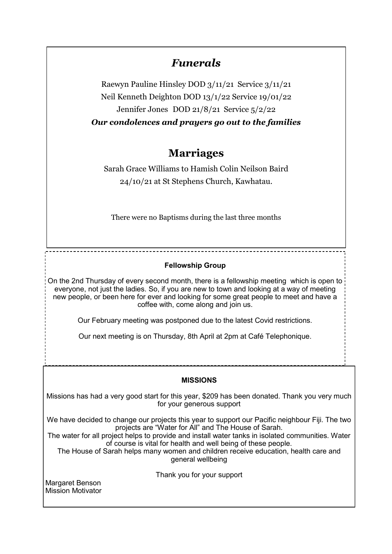## *Funerals*

Raewyn Pauline Hinsley DOD 3/11/21 Service 3/11/21 Neil Kenneth Deighton DOD 13/1/22 Service 19/01/22 Jennifer Jones DOD 21/8/21 Service 5/2/22 *Our condolences and prayers go out to the families*

# **Marriages**

Sarah Grace Williams to Hamish Colin Neilson Baird 24/10/21 at St Stephens Church, Kawhatau.

There were no Baptisms during the last three months

### **Fellowship Group**

On the 2nd Thursday of every second month, there is a fellowship meeting which is open to everyone, not just the ladies. So, if you are new to town and looking at a way of meeting new people, or been here for ever and looking for some great people to meet and have a coffee with, come along and join us.

Our February meeting was postponed due to the latest Covid restrictions.

Our next meeting is on Thursday, 8th April at 2pm at Café Telephonique.

### **MISSIONS**

Missions has had a very good start for this year, \$209 has been donated. Thank you very much for your generous support

We have decided to change our projects this year to support our Pacific neighbour Fiji. The two projects are "Water for All" and The House of Sarah.

The water for all project helps to provide and install water tanks in isolated communities. Water of course is vital for health and well being of these people.

The House of Sarah helps many women and children receive education, health care and general wellbeing

Thank you for your support

Margaret Benson Mission Motivator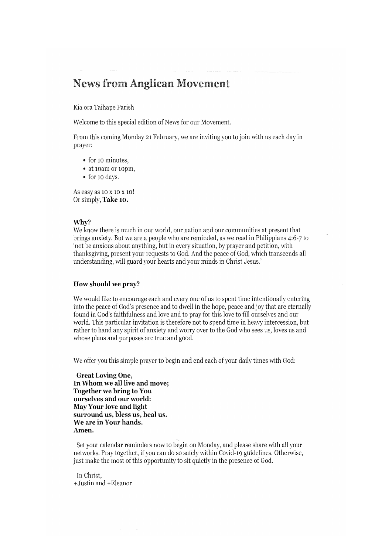## **News from Anglican Movement**

Kia ora Taihape Parish

Welcome to this special edition of News for our Movement.

From this coming Monday 21 February, we are inviting you to join with us each day in prayer:

- for 10 minutes,
- · at 10am or 10pm,
- · for 10 days.

As easy as 10 x 10 x 10! Or simply, Take 10.

#### Why?

We know there is much in our world, our nation and our communities at present that brings anxiety. But we are a people who are reminded, as we read in Philippians 4:6-7 to 'not be anxious about anything, but in every situation, by prayer and petition, with thanksgiving, present your requests to God. And the peace of God, which transcends all understanding, will guard your hearts and your minds in Christ Jesus.'

#### How should we pray?

We would like to encourage each and every one of us to spent time intentionally entering into the peace of God's presence and to dwell in the hope, peace and joy that are eternally found in God's faithfulness and love and to pray for this love to fill ourselves and our world. This particular invitation is therefore not to spend time in heavy intercession, but rather to hand any spirit of anxiety and worry over to the God who sees us, loves us and whose plans and purposes are true and good.

We offer you this simple prayer to begin and end each of your daily times with God:

**Great Loving One,** In Whom we all live and move; **Together we bring to You** ourselves and our world: May Your love and light surround us, bless us, heal us. We are in Your hands. Amen.

Set your calendar reminders now to begin on Monday, and please share with all your networks. Pray together, if you can do so safely within Covid-19 guidelines. Otherwise, just make the most of this opportunity to sit quietly in the presence of God.

In Christ. +Justin and +Eleanor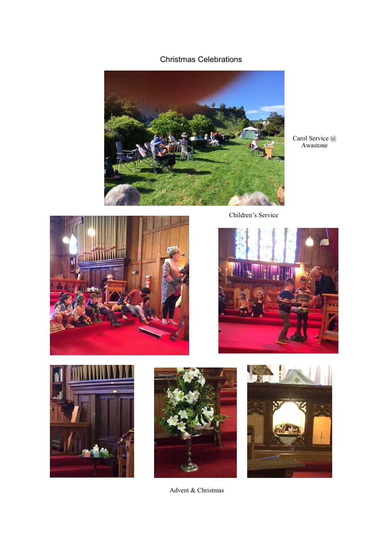## Christmas Celebrations



Carol Service @ Awastone



Children's Service









Advent & Christmas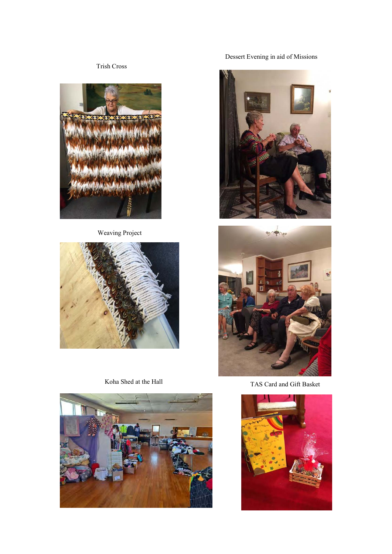Trish Cross



Weaving Project



Koha Shed at the Hall



Dessert Evening in aid of Missions





TAS Card and Gift Basket

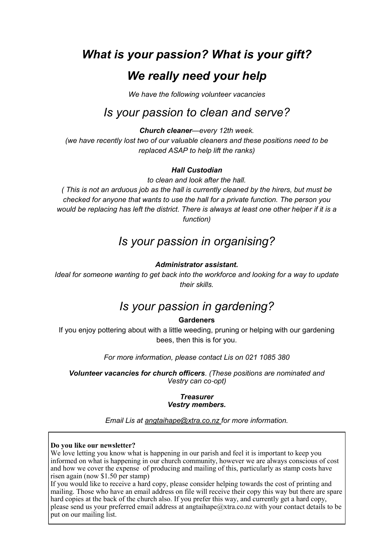# *What is your passion? What is your gift? We really need your help*

*We have the following volunteer vacancies*

# *Is your passion to clean and serve?*

*Church cleaner—every 12th week.* 

*(we have recently lost two of our valuable cleaners and these positions need to be replaced ASAP to help lift the ranks)*

#### *Hall Custodian*

*to clean and look after the hall.*

*( This is not an arduous job as the hall is currently cleaned by the hirers, but must be checked for anyone that wants to use the hall for a private function. The person you would be replacing has left the district. There is always at least one other helper if it is a function)*

# *Is your passion in organising?*

#### *Administrator assistant.*

*Ideal for someone wanting to get back into the workforce and looking for a way to update their skills.*

# *Is your passion in gardening?*

### **Gardeners**

If you enjoy pottering about with a little weeding, pruning or helping with our gardening bees, then this is for you.

*For more information, please contact Lis on 021 1085 380*

*Volunteer vacancies for church officers. (These positions are nominated and Vestry can co-opt)* 

#### *Treasurer Vestry members.*

*Email Lis at angtaihape@xtra.co.nz for more information.*

#### **Do you like our newsletter?**

We love letting you know what is happening in our parish and feel it is important to keep you informed on what is happening in our church community, however we are always conscious of cost and how we cover the expense of producing and mailing of this, particularly as stamp costs have risen again (now \$1.50 per stamp)

If you would like to receive a hard copy, please consider helping towards the cost of printing and mailing. Those who have an email address on file will receive their copy this way but there are spare hard copies at the back of the church also. If you prefer this way, and currently get a hard copy, please send us your preferred email address at angtaihape@xtra.co.nz with your contact details to be put on our mailing list.